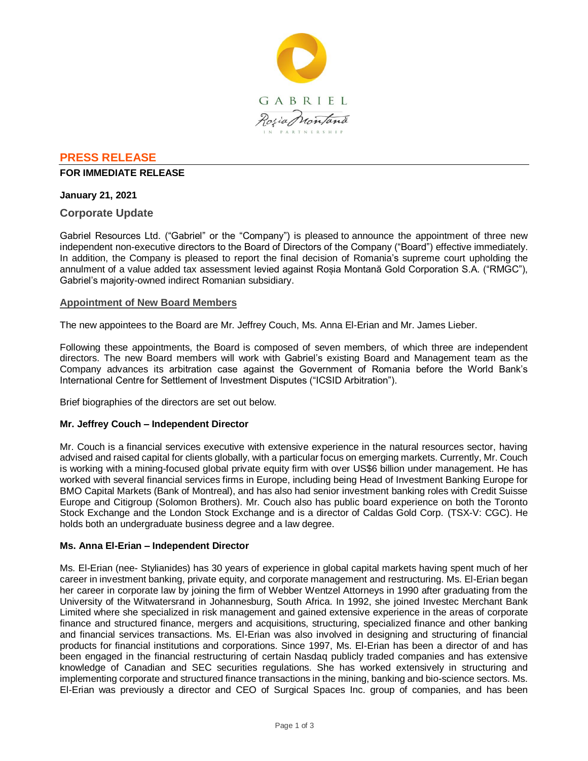

## **PRESS RELEASE**

#### **FOR IMMEDIATE RELEASE**

### **January 21, 2021**

## **Corporate Update**

Gabriel Resources Ltd. ("Gabriel" or the "Company") is pleased to announce the appointment of three new independent non-executive directors to the Board of Directors of the Company ("Board") effective immediately. In addition, the Company is pleased to report the final decision of Romania's supreme court upholding the annulment of a value added tax assessment levied against Roșia Montană Gold Corporation S.A. ("RMGC"), Gabriel's majority-owned indirect Romanian subsidiary.

### **Appointment of New Board Members**

The new appointees to the Board are Mr. Jeffrey Couch, Ms. Anna El-Erian and Mr. James Lieber.

Following these appointments, the Board is composed of seven members, of which three are independent directors. The new Board members will work with Gabriel's existing Board and Management team as the Company advances its arbitration case against the Government of Romania before the World Bank's International Centre for Settlement of Investment Disputes ("ICSID Arbitration").

Brief biographies of the directors are set out below.

### **Mr. Jeffrey Couch – Independent Director**

Mr. Couch is a financial services executive with extensive experience in the natural resources sector, having advised and raised capital for clients globally, with a particular focus on emerging markets. Currently, Mr. Couch is working with a mining-focused global private equity firm with over US\$6 billion under management. He has worked with several financial services firms in Europe, including being Head of Investment Banking Europe for BMO Capital Markets (Bank of Montreal), and has also had senior investment banking roles with Credit Suisse Europe and Citigroup (Solomon Brothers). Mr. Couch also has public board experience on both the Toronto Stock Exchange and the London Stock Exchange and is a director of Caldas Gold Corp. (TSX-V: CGC). He holds both an undergraduate business degree and a law degree.

### **Ms. Anna El-Erian – Independent Director**

Ms. El-Erian (nee- Stylianides) has 30 years of experience in global capital markets having spent much of her career in investment banking, private equity, and corporate management and restructuring. Ms. El-Erian began her career in corporate law by joining the firm of Webber Wentzel Attorneys in 1990 after graduating from the University of the Witwatersrand in Johannesburg, South Africa. In 1992, she joined Investec Merchant Bank Limited where she specialized in risk management and gained extensive experience in the areas of corporate finance and structured finance, mergers and acquisitions, structuring, specialized finance and other banking and financial services transactions. Ms. El-Erian was also involved in designing and structuring of financial products for financial institutions and corporations. Since 1997, Ms. El-Erian has been a director of and has been engaged in the financial restructuring of certain Nasdaq publicly traded companies and has extensive knowledge of Canadian and SEC securities regulations. She has worked extensively in structuring and implementing corporate and structured finance transactions in the mining, banking and bio-science sectors. Ms. El-Erian was previously a director and CEO of Surgical Spaces Inc. group of companies, and has been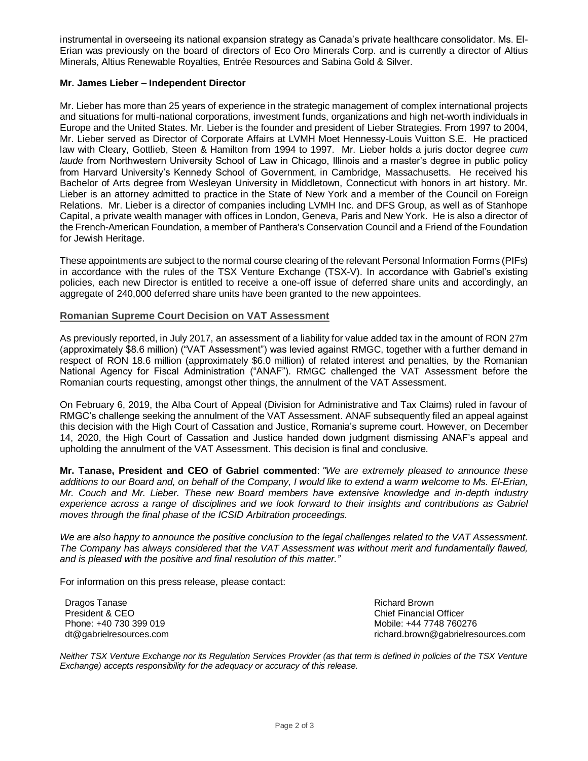instrumental in overseeing its national expansion strategy as Canada's private healthcare consolidator. Ms. El-Erian was previously on the board of directors of Eco Oro Minerals Corp. and is currently a director of Altius Minerals, Altius Renewable Royalties, Entrée Resources and Sabina Gold & Silver.

### **Mr. James Lieber – Independent Director**

Mr. Lieber has more than 25 years of experience in the strategic management of complex international projects and situations for multi-national corporations, investment funds, organizations and high net-worth individuals in Europe and the United States. Mr. Lieber is the founder and president of Lieber Strategies. From 1997 to 2004, Mr. Lieber served as Director of Corporate Affairs at LVMH Moet Hennessy-Louis Vuitton S.E. He practiced law with Cleary, Gottlieb, Steen & Hamilton from 1994 to 1997. Mr. Lieber holds a juris doctor degree *cum laude* from Northwestern University School of Law in Chicago, Illinois and a master's degree in public policy from Harvard University's Kennedy School of Government, in Cambridge, Massachusetts. He received his Bachelor of Arts degree from Wesleyan University in Middletown, Connecticut with honors in art history. Mr. Lieber is an attorney admitted to practice in the State of New York and a member of the Council on Foreign Relations. Mr. Lieber is a director of companies including LVMH Inc. and DFS Group, as well as of Stanhope Capital, a private wealth manager with offices in London, Geneva, Paris and New York. He is also a director of the French-American Foundation, a member of Panthera's Conservation Council and a Friend of the Foundation for Jewish Heritage.

These appointments are subject to the normal course clearing of the relevant Personal Information Forms (PIFs) in accordance with the rules of the TSX Venture Exchange (TSX-V). In accordance with Gabriel's existing policies, each new Director is entitled to receive a one-off issue of deferred share units and accordingly, an aggregate of 240,000 deferred share units have been granted to the new appointees.

### **Romanian Supreme Court Decision on VAT Assessment**

As previously reported, in July 2017, an assessment of a liability for value added tax in the amount of RON 27m (approximately \$8.6 million) ("VAT Assessment") was levied against RMGC, together with a further demand in respect of RON 18.6 million (approximately \$6.0 million) of related interest and penalties, by the Romanian National Agency for Fiscal Administration ("ANAF"). RMGC challenged the VAT Assessment before the Romanian courts requesting, amongst other things, the annulment of the VAT Assessment.

On February 6, 2019, the Alba Court of Appeal (Division for Administrative and Tax Claims) ruled in favour of RMGC's challenge seeking the annulment of the VAT Assessment. ANAF subsequently filed an appeal against this decision with the High Court of Cassation and Justice, Romania's supreme court. However, on December 14, 2020, the High Court of Cassation and Justice handed down judgment dismissing ANAF's appeal and upholding the annulment of the VAT Assessment. This decision is final and conclusive.

**Mr. Tanase, President and CEO of Gabriel commented**: *"We are extremely pleased to announce these additions to our Board and, on behalf of the Company, I would like to extend a warm welcome to Ms. El-Erian, Mr. Couch and Mr. Lieber. These new Board members have extensive knowledge and in-depth industry experience across a range of disciplines and we look forward to their insights and contributions as Gabriel moves through the final phase of the ICSID Arbitration proceedings.*

*We are also happy to announce the positive conclusion to the legal challenges related to the VAT Assessment. The Company has always considered that the VAT Assessment was without merit and fundamentally flawed, and is pleased with the positive and final resolution of this matter."*

For information on this press release, please contact:

Dragos Tanase President & CEO Phone: +40 730 399 019 dt@gabrielresources.com Richard Brown Chief Financial Officer Mobile: +44 7748 760276 richard.brown@gabrielresources.com

*Neither TSX Venture Exchange nor its Regulation Services Provider (as that term is defined in policies of the TSX Venture Exchange) accepts responsibility for the adequacy or accuracy of this release.*